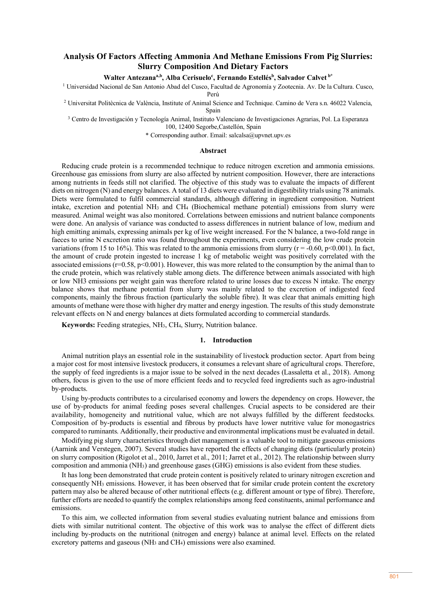# **Analysis Of Factors Affecting Ammonia And Methane Emissions From Pig Slurries: Slurry Composition And Dietary Factors**

## **Walter Antezanaa,b, Alba Cerisueloc , Fernando Estellésb , Salvador Calvet b\***

<sup>1</sup> Universidad Nacional de San Antonio Abad del Cusco, Facultad de Agronomía y Zootecnia. Av. De la Cultura. Cusco,

Perú

<sup>2</sup> Universitat Politècnica de València, Institute of Animal Science and Technique. Camino de Vera s.n. 46022 Valencia, Spain

<sup>3</sup> Centro de Investigación y Tecnología Animal, Instituto Valenciano de Investigaciones Agrarias, Pol. La Esperanza 100, 12400 Segorbe,Castellón, Spain

\* Corresponding author. Email: salcalsa@upvnet.upv.es

## **Abstract**

Reducing crude protein is a recommended technique to reduce nitrogen excretion and ammonia emissions. Greenhouse gas emissions from slurry are also affected by nutrient composition. However, there are interactions among nutrients in feeds still not clarified. The objective of this study was to evaluate the impacts of different diets on nitrogen (N) and energy balances. A total of 13 diets were evaluated in digestibility trials using 78 animals. Diets were formulated to fulfil commercial standards, although differing in ingredient composition. Nutrient intake, excretion and potential NH3 and CH4 (Biochemical methane potential) emissions from slurry were measured. Animal weight was also monitored. Correlations between emissions and nutrient balance components were done. An analysis of variance was conducted to assess differences in nutrient balance of low, medium and high emitting animals, expressing animals per kg of live weight increased. For the N balance, a two-fold range in faeces to urine N excretion ratio was found throughout the experiments, even considering the low crude protein variations (from 15 to 16%). This was related to the ammonia emissions from slurry ( $r = -0.60$ ,  $p < 0.001$ ). In fact, the amount of crude protein ingested to increase 1 kg of metabolic weight was positively correlated with the associated emissions ( $r=0.58$ ,  $p<0.001$ ). However, this was more related to the consumption by the animal than to the crude protein, which was relatively stable among diets. The difference between animals associated with high or low NH3 emissions per weight gain was therefore related to urine losses due to excess N intake. The energy balance shows that methane potential from slurry was mainly related to the excretion of indigested feed components, mainly the fibrous fraction (particularly the soluble fibre). It was clear that animals emitting high amounts of methane were those with higher dry matter and energy ingestion. The results of this study demonstrate relevant effects on N and energy balances at diets formulated according to commercial standards.

**Keywords:** Feeding strategies, NH3, CH4, Slurry, Nutrition balance.

## **1. Introduction**

Animal nutrition plays an essential role in the sustainability of livestock production sector. Apart from being a major cost for most intensive livestock producers, it consumes a relevant share of agricultural crops. Therefore, the supply of feed ingredients is a major issue to be solved in the next decades (Lassaletta et al., 2018). Among others, focus is given to the use of more efficient feeds and to recycled feed ingredients such as agro-industrial by-products.

Using by-products contributes to a circularised economy and lowers the dependency on crops. However, the use of by-products for animal feeding poses several challenges. Crucial aspects to be considered are their availability, homogeneity and nutritional value, which are not always fulfilled by the different feedstocks. Composition of by-products is essential and fibrous by products have lower nutritive value for monogastrics compared to ruminants. Additionally, their productive and environmental implications must be evaluated in detail.

Modifying pig slurry characteristics through diet management is a valuable tool to mitigate gaseous emissions (Aarnink and Verstegen, 2007). Several studies have reported the effects of changing diets (particularly protein) on slurry composition (Rigolot et al., 2010, Jarret et al., 2011; Jarret et al., 2012). The relationship between slurry composition and ammonia (NH3) and greenhouse gases (GHG) emissions is also evident from these studies.

It has long been demonstrated that crude protein content is positively related to urinary nitrogen excretion and consequently NH3 emissions. However, it has been observed that for similar crude protein content the excretory pattern may also be altered because of other nutritional effects (e.g. different amount or type of fibre). Therefore, further efforts are needed to quantify the complex relationships among feed constituents, animal performance and emissions.

To this aim, we collected information from several studies evaluating nutrient balance and emissions from diets with similar nutritional content. The objective of this work was to analyse the effect of different diets including by-products on the nutritional (nitrogen and energy) balance at animal level. Effects on the related excretory patterns and gaseous (NH<sub>3</sub> and CH<sub>4</sub>) emissions were also examined.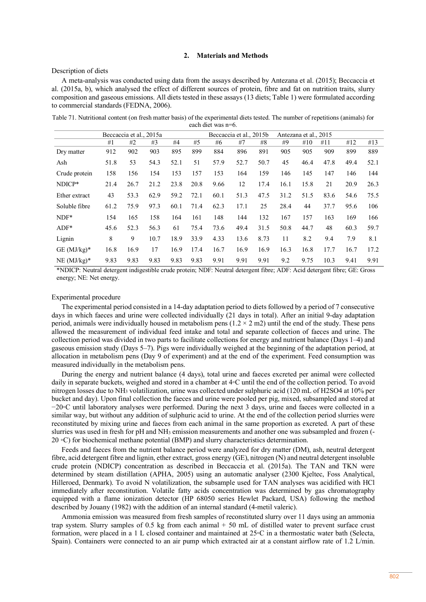## **2. Materials and Methods**

Description of diets

A meta-analysis was conducted using data from the assays described by Antezana et al. (2015); Beccaccia et al. (2015a, b), which analysed the effect of different sources of protein, fibre and fat on nutrition traits, slurry composition and gaseous emissions. All diets tested in these assays (13 diets; Table 1) were formulated according to commercial standards (FEDNA, 2006).

Table 71. Nutritional content (on fresh matter basis) of the experimental diets tested. The number of repetitions (animals) for each diet was n=6.

|               |      | Beccaccia et al., 2015a |      |      |      |      | Beccaccia et al., 2015b |      |      | Antezana et al., 2015 |      |      |      |
|---------------|------|-------------------------|------|------|------|------|-------------------------|------|------|-----------------------|------|------|------|
|               | #1   | #2                      | #3   | #4   | #5   | #6   | #7                      | #8   | #9   | #10                   | #11  | #12  | #13  |
| Dry matter    | 912  | 902                     | 903  | 895  | 899  | 884  | 896                     | 891  | 905  | 905                   | 909  | 899  | 889  |
| Ash           | 51.8 | 53                      | 54.3 | 52.1 | 51   | 57.9 | 52.7                    | 50.7 | 45   | 46.4                  | 47.8 | 49.4 | 52.1 |
| Crude protein | 158  | 156                     | 154  | 153  | 157  | 153  | 164                     | 159  | 146  | 145                   | 147  | 146  | 144  |
| NDICP*        | 21.4 | 26.7                    | 21.2 | 23.8 | 20.8 | 9.66 | 12                      | 17.4 | 16.1 | 15.8                  | 21   | 20.9 | 26.3 |
| Ether extract | 43   | 53.3                    | 62.9 | 59.2 | 72.1 | 60.1 | 51.3                    | 47.5 | 31.2 | 51.5                  | 83.6 | 54.6 | 75.5 |
| Soluble fibre | 61.2 | 75.9                    | 97.3 | 60.1 | 71.4 | 62.3 | 17.1                    | 25   | 28.4 | 44                    | 37.7 | 95.6 | 106  |
| $NDF*$        | 154  | 165                     | 158  | 164  | 161  | 148  | 144                     | 132  | 167  | 157                   | 163  | 169  | 166  |
| $ADF*$        | 45.6 | 52.3                    | 56.3 | 61   | 75.4 | 73.6 | 49.4                    | 31.5 | 50.8 | 44.7                  | 48   | 60.3 | 59.7 |
| Lignin        | 8    | 9                       | 10.7 | 18.9 | 33.9 | 4.33 | 13.6                    | 8.73 | 11   | 8.2                   | 9.4  | 7.9  | 8.1  |
| $GE$ (MJ/kg)* | 16.8 | 16.9                    | 17   | 16.9 | 17.4 | 16.7 | 16.9                    | 16.9 | 16.3 | 16.8                  | 17.7 | 16.7 | 17.2 |
| $NE$ (MJ/kg)* | 9.83 | 9.83                    | 9.83 | 9.83 | 9.83 | 9.91 | 9.91                    | 9.91 | 9.2  | 9.75                  | 10.3 | 9.41 | 9.91 |

\*NDICP: Neutral detergent indigestible crude protein; NDF: Neutral detergent fibre; ADF: Acid detergent fibre; GE: Gross energy; NE: Net energy.

#### Experimental procedure

The experimental period consisted in a 14-day adaptation period to diets followed by a period of 7 consecutive days in which faeces and urine were collected individually (21 days in total). After an initial 9-day adaptation period, animals were individually housed in metabolism pens  $(1.2 \times 2 \text{ m2})$  until the end of the study. These pens allowed the measurement of individual feed intake and total and separate collection of faeces and urine. The collection period was divided in two parts to facilitate collections for energy and nutrient balance (Days 1–4) and gaseous emission study (Days 5–7). Pigs were individually weighed at the beginning of the adaptation period, at allocation in metabolism pens (Day 9 of experiment) and at the end of the experiment. Feed consumption was measured individually in the metabolism pens.

During the energy and nutrient balance (4 days), total urine and faeces excreted per animal were collected daily in separate buckets, weighed and stored in a chamber at 4◦C until the end of the collection period. To avoid nitrogen losses due to NH3 volatilization, urine was collected under sulphuric acid (120 mL of H2SO4 at 10% per bucket and day). Upon final collection the faeces and urine were pooled per pig, mixed, subsampled and stored at −20◦C until laboratory analyses were performed. During the next 3 days, urine and faeces were collected in a similar way, but without any addition of sulphuric acid to urine. At the end of the collection period slurries were reconstituted by mixing urine and faeces from each animal in the same proportion as excreted. A part of these slurries was used in fresh for pH and NH3 emission measurements and another one was subsampled and frozen (- 20 ◦C) for biochemical methane potential (BMP) and slurry characteristics determination.

Feeds and faeces from the nutrient balance period were analyzed for dry matter (DM), ash, neutral detergent fibre, acid detergent fibre and lignin, ether extract, gross energy (GE), nitrogen (N) and neutral detergent insoluble crude protein (NDICP) concentration as described in Beccaccia et al. (2015a). The TAN and TKN were determined by steam distillation (APHA, 2005) using an automatic analyser (2300 Kjeltec, Foss Analytical, Hilleroed, Denmark). To avoid N volatilization, the subsample used for TAN analyses was acidified with HCl immediately after reconstitution. Volatile fatty acids concentration was determined by gas chromatography equipped with a flame ionization detector (HP 68050 series Hewlet Packard, USA) following the method described by Jouany (1982) with the addition of an internal standard (4-metil valeric).

Ammonia emission was measured from fresh samples of reconstituted slurry over 11 days using an ammonia trap system. Slurry samples of 0.5 kg from each animal + 50 mL of distilled water to prevent surface crust formation, were placed in a 1 L closed container and maintained at 25◦C in a thermostatic water bath (Selecta, Spain). Containers were connected to an air pump which extracted air at a constant airflow rate of 1.2 L/min.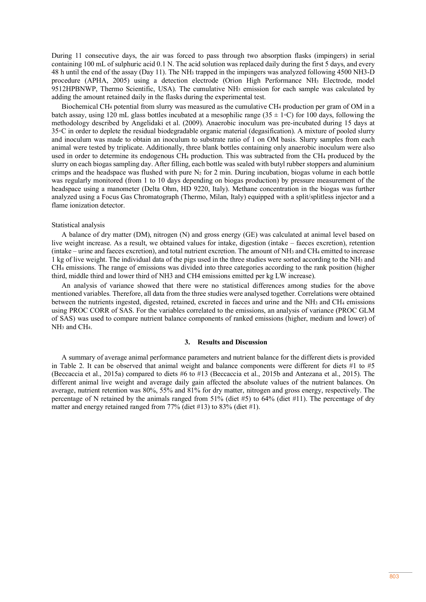During 11 consecutive days, the air was forced to pass through two absorption flasks (impingers) in serial containing 100 mL of sulphuric acid 0.1 N. The acid solution was replaced daily during the first 5 days, and every 48 h until the end of the assay (Day 11). The NH3 trapped in the impingers was analyzed following 4500 NH3-D procedure (APHA, 2005) using a detection electrode (Orion High Performance NH3 Electrode, model 9512HPBNWP, Thermo Scientific, USA). The cumulative NH3 emission for each sample was calculated by adding the amount retained daily in the flasks during the experimental test.

Biochemical CH4 potential from slurry was measured as the cumulative CH4 production per gram of OM in a batch assay, using 120 mL glass bottles incubated at a mesophilic range (35  $\pm$  1∘C) for 100 days, following the methodology described by Angelidaki et al. (2009). Anaerobic inoculum was pre-incubated during 15 days at 35◦C in order to deplete the residual biodegradable organic material (degasification). A mixture of pooled slurry and inoculum was made to obtain an inoculum to substrate ratio of 1 on OM basis. Slurry samples from each animal were tested by triplicate. Additionally, three blank bottles containing only anaerobic inoculum were also used in order to determine its endogenous CH4 production. This was subtracted from the CH4 produced by the slurry on each biogas sampling day. After filling, each bottle was sealed with butyl rubber stoppers and aluminium crimps and the headspace was flushed with pure  $N_2$  for 2 min. During incubation, biogas volume in each bottle was regularly monitored (from 1 to 10 days depending on biogas production) by pressure measurement of the headspace using a manometer (Delta Ohm, HD 9220, Italy). Methane concentration in the biogas was further analyzed using a Focus Gas Chromatograph (Thermo, Milan, Italy) equipped with a split/splitless injector and a flame ionization detector.

#### Statistical analysis

A balance of dry matter (DM), nitrogen (N) and gross energy (GE) was calculated at animal level based on live weight increase. As a result, we obtained values for intake, digestion (intake – faeces excretion), retention (intake – urine and faeces excretion), and total nutrient excretion. The amount of NH3 and CH4 emitted to increase 1 kg of live weight. The individual data of the pigs used in the three studies were sorted according to the NH3 and CH4 emissions. The range of emissions was divided into three categories according to the rank position (higher third, middle third and lower third of NH3 and CH4 emissions emitted per kg LW increase).

An analysis of variance showed that there were no statistical differences among studies for the above mentioned variables. Therefore, all data from the three studies were analysed together. Correlations were obtained between the nutrients ingested, digested, retained, excreted in faeces and urine and the NH3 and CH4 emissions using PROC CORR of SAS. For the variables correlated to the emissions, an analysis of variance (PROC GLM of SAS) was used to compare nutrient balance components of ranked emissions (higher, medium and lower) of NH3 and CH4.

#### **3. Results and Discussion**

A summary of average animal performance parameters and nutrient balance for the different diets is provided in Table 2. It can be observed that animal weight and balance components were different for diets #1 to #5 (Beccaccia et al., 2015a) compared to diets #6 to #13 (Beccaccia et al., 2015b and Antezana et al., 2015). The different animal live weight and average daily gain affected the absolute values of the nutrient balances. On average, nutrient retention was 80%, 55% and 81% for dry matter, nitrogen and gross energy, respectively. The percentage of N retained by the animals ranged from  $51\%$  (diet  $\#5$ ) to  $64\%$  (diet  $\#11$ ). The percentage of dry matter and energy retained ranged from 77% (diet #13) to 83% (diet #1).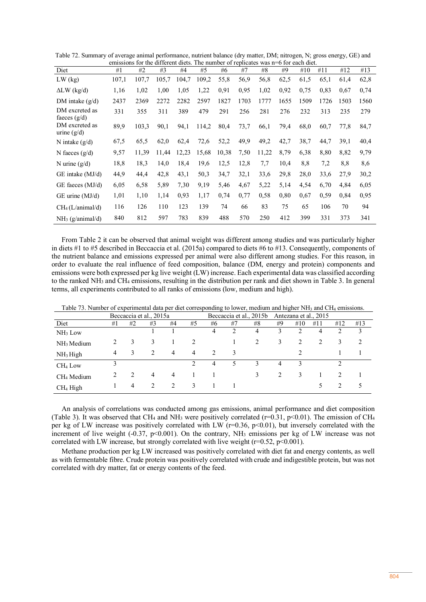| different diets.<br>The number of replicates was n=6 for each diet.<br>for the<br>emissions |       |       |       |       |       |       |      |       |      |      |      |      |      |
|---------------------------------------------------------------------------------------------|-------|-------|-------|-------|-------|-------|------|-------|------|------|------|------|------|
| Diet                                                                                        | #1    | #2    | #3    | #4    | #5    | #6    | #7   | #8    | #9   | #10  | #11  | #12  | #13  |
| $LW$ (kg)                                                                                   | 107,1 | 107.7 | 105,7 | 104,7 | 109,2 | 55,8  | 56,9 | 56,8  | 62,5 | 61.5 | 65,1 | 61,4 | 62,8 |
| $\Delta L W$ (kg/d)                                                                         | 1,16  | 1,02  | 1,00  | 1,05  | 1,22  | 0,91  | 0,95 | 1,02  | 0,92 | 0,75 | 0,83 | 0.67 | 0,74 |
| DM intake $(g/d)$                                                                           | 2437  | 2369  | 2272  | 2282  | 2597  | 1827  | 1703 | 1777  | 1655 | 1509 | 1726 | 1503 | 1560 |
| DM excreted as<br>faeces $(g/d)$                                                            | 331   | 355   | 311   | 389   | 479   | 291   | 256  | 281   | 276  | 232  | 313  | 235  | 279  |
| DM excreted as<br>urine $(g/d)$                                                             | 89,9  | 103.3 | 90,1  | 94,1  | 114,2 | 80,4  | 73,7 | 66,1  | 79,4 | 68,0 | 60,7 | 77,8 | 84,7 |
| N intake $(g/d)$                                                                            | 67,5  | 65,5  | 62,0  | 62,4  | 72,6  | 52,2  | 49,9 | 49,2  | 42,7 | 38,7 | 44,7 | 39,1 | 40,4 |
| N faeces $(g/d)$                                                                            | 9,57  | 11,39 | 11.44 | 12,23 | 15,68 | 10,38 | 7.50 | 11,22 | 8.79 | 6,38 | 8,80 | 8,82 | 9,79 |
| N urine $(g/d)$                                                                             | 18,8  | 18,3  | 14,0  | 18,4  | 19,6  | 12,5  | 12,8 | 7,7   | 10,4 | 8,8  | 7,2  | 8,8  | 8,6  |
| $GE$ intake $(MJ/d)$                                                                        | 44,9  | 44,4  | 42,8  | 43.1  | 50,3  | 34,7  | 32,1 | 33,6  | 29,8 | 28,0 | 33,6 | 27.9 | 30,2 |
| $GE$ faeces $(MJ/d)$                                                                        | 6,05  | 6,58  | 5,89  | 7.30  | 9,19  | 5,46  | 4,67 | 5,22  | 5,14 | 4,54 | 6,70 | 4,84 | 6,05 |
| $GE$ urine $(MJ/d)$                                                                         | 1,01  | 1,10  | 1,14  | 0.93  | 1,17  | 0.74  | 0.77 | 0.58  | 0.80 | 0.67 | 0.59 | 0.84 | 0.95 |
| CH <sub>4</sub> (L/animal/d)                                                                | 116   | 126   | 110   | 123   | 139   | 74    | 66   | 83    | 75   | 65   | 106  | 70   | 94   |
| $NH3$ (g/animal/d)                                                                          | 840   | 812   | 597   | 783   | 839   | 488   | 570  | 250   | 412  | 399  | 331  | 373  | 341  |

Table 72. Summary of average animal performance, nutrient balance (dry matter, DM; nitrogen, N; gross energy, GE) and emissions for the different diets. The number of replicates was n=6 for each diet.

From Table 2 it can be observed that animal weight was different among studies and was particularly higher in diets #1 to #5 described in Beccaccia et al. (2015a) compared to diets #6 to #13. Consequently, components of the nutrient balance and emissions expressed per animal were also different among studies. For this reason, in order to evaluate the real influence of feed composition, balance (DM, energy and protein) components and emissions were both expressed per kg live weight (LW) increase. Each experimental data was classified according to the ranked NH3 and CH4 emissions, resulting in the distribution per rank and diet shown in Table 3. In general terms, all experiments contributed to all ranks of emissions (low, medium and high).

|                        |                |                | Beccaccia et al., 2015a |                |                               | Beccaccia et al., 2015b |                |    | Antezana et al., 2015 |     |     |     |     |
|------------------------|----------------|----------------|-------------------------|----------------|-------------------------------|-------------------------|----------------|----|-----------------------|-----|-----|-----|-----|
| Diet                   | #1             | #2             | #3                      | #4             | #5                            | #6                      | #7             | #8 | #9                    | #10 | #11 | #12 | #13 |
| $NH3$ Low              |                |                |                         |                |                               | 4                       | $\overline{c}$ | 4  | 3                     |     | 4   |     | 3   |
| NH <sub>3</sub> Medium |                | 3              | 3                       |                | $\mathfrak{D}_{\mathfrak{p}}$ |                         |                | 2  | 3                     | 2   | 2   | 3   | 2   |
| NH <sub>3</sub> High   | $\overline{4}$ | 3              | $\mathfrak{D}$          | $\overline{4}$ | 4                             | $\mathcal{L}$           | 3              |    |                       |     |     |     |     |
| CH <sub>4</sub> Low    | 3              |                |                         |                | $\mathcal{D}_{\mathcal{A}}$   | 4                       | 5.             | 3  | 4                     | 3   |     |     |     |
| CH <sub>4</sub> Medium | $\mathfrak{D}$ | $\mathcal{L}$  | 4                       | 4              |                               |                         |                | 3  |                       | 3   |     |     |     |
| CH <sub>4</sub> High   |                | $\overline{4}$ |                         | $2^{1}$        | 3                             |                         |                |    |                       |     | 5   |     | 5   |

Table 73. Number of experimental data per diet corresponding to lower, medium and higher NH3 and CH4 emissions.

An analysis of correlations was conducted among gas emissions, animal performance and diet composition (Table 3). It was observed that CH<sub>4</sub> and NH<sub>3</sub> were positively correlated ( $r=0.31$ ,  $p<0.01$ ). The emission of CH<sub>4</sub> per kg of LW increase was positively correlated with LW ( $r=0.36$ ,  $p<0.01$ ), but inversely correlated with the increment of live weight (-0.37, p<0.001). On the contrary, NH<sub>3</sub> emissions per kg of LW increase was not correlated with LW increase, but strongly correlated with live weight ( $r=0.52$ ,  $p<0.001$ ).

Methane production per kg LW increased was positively correlated with diet fat and energy contents, as well as with fermentable fibre. Crude protein was positively correlated with crude and indigestible protein, but was not correlated with dry matter, fat or energy contents of the feed.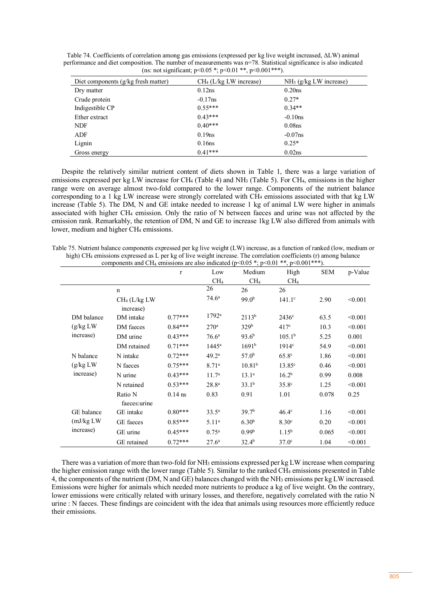Table 74. Coefficients of correlation among gas emissions (expressed per kg live weight increased, ΔLW) animal performance and diet composition. The number of measurements was n=78. Statistical significance is also indicated (ns: not significant;  $p<0.05$ \*;  $p<0.01$ \*\*,  $p<0.001$ \*\*\*).

| Diet components (g/kg fresh matter) | $CH4$ (L/kg LW increase) | $NH3$ (g/kg LW increase) |
|-------------------------------------|--------------------------|--------------------------|
| Dry matter                          | 0.12ns                   | 0.20ns                   |
| Crude protein                       | $-0.17$ ns               | $0.27*$                  |
| Indigestible CP                     | $0.55***$                | $0.34**$                 |
| Ether extract                       | $0.43***$                | $-0.10$ ns               |
| <b>NDF</b>                          | $0.40***$                | 0.08 <sub>ns</sub>       |
| ADF                                 | $0.19$ ns                | $-0.07$ ns               |
| Lignin                              | 0.16ns                   | $0.25*$                  |
| Gross energy                        | $0.41***$                | 0.02ns                   |

Despite the relatively similar nutrient content of diets shown in Table 1, there was a large variation of emissions expressed per kg LW increase for CH4 (Table 4) and NH3 (Table 5). For CH4, emissions in the higher range were on average almost two-fold compared to the lower range. Components of the nutrient balance corresponding to a 1 kg LW increase were strongly correlated with CH4 emissions associated with that kg LW increase (Table 5). The DM, N and GE intake needed to increase 1 kg of animal LW were higher in animals associated with higher CH4 emission. Only the ratio of N between faeces and urine was not affected by the emission rank. Remarkably, the retention of DM, N and GE to increase 1kg LW also differed from animals with lower, medium and higher CH<sub>4</sub> emissions.

| Table 75. Nutrient balance components expressed per kg live weight (LW) increase, as a function of ranked (low, medium or     |
|-------------------------------------------------------------------------------------------------------------------------------|
| high) CH <sub>4</sub> emissions expressed as L per kg of live weight increase. The correlation coefficients (r) among balance |
| components and CH <sub>4</sub> emissions are also indicated ( $n<0.05$ *· $n<0.01$ ** $n<0.001$ ***)                          |

|            |                                        | $\mathbf{r}$ | Low               | Medium            | High               | <b>SEM</b> | p-Value |
|------------|----------------------------------------|--------------|-------------------|-------------------|--------------------|------------|---------|
|            |                                        |              | CH <sub>4</sub>   | CH <sub>4</sub>   | CH <sub>4</sub>    |            |         |
|            | $\mathbf n$                            |              | 26                | 26                | 26                 |            |         |
|            | CH <sub>4</sub> (L/kg LW)<br>increase) |              | 74.6 <sup>a</sup> | 99.0 <sup>b</sup> | $141.1^c$          | 2.90       | < 0.001 |
| DM balance | DM intake                              | $0.77***$    | $1792^a$          | $2113^{b}$        | 2436 <sup>c</sup>  | 63.5       | < 0.001 |
| (g/kg LW)  | DM faeces                              | $0.84***$    | 270 <sup>a</sup>  | 329 <sup>b</sup>  | 417 <sup>c</sup>   | 10.3       | < 0.001 |
| increase)  | DM urine                               | $0.43***$    | 76.6 <sup>a</sup> | 93.6 <sup>b</sup> | 105.1 <sup>b</sup> | 5.25       | 0.001   |
|            | DM retained                            | $0.71***$    | 1445 <sup>a</sup> | 1691 <sup>b</sup> | 1914c              | 54.9       | < 0.001 |
| N balance  | N intake                               | $0.72***$    | 49.2 <sup>a</sup> | 57.0 <sup>b</sup> | 65.8 <sup>c</sup>  | 1.86       | < 0.001 |
| (g/kg LW)  | N faeces                               | $0.75***$    | 8.71 <sup>a</sup> | $10.81^{b}$       | $13.85^{\circ}$    | 0.46       | < 0.001 |
| increase)  | N urine                                | $0.43***$    | 11.7 <sup>a</sup> | 13.1 <sup>a</sup> | 16.2 <sup>b</sup>  | 0.99       | 0.008   |
|            | N retained                             | $0.53***$    | 28.8 <sup>a</sup> | 33.1 <sup>b</sup> | 35.8 <sup>c</sup>  | 1.25       | < 0.001 |
|            | Ratio N<br>faeces: urine               | $0.14$ ns    | 0.83              | 0.91              | 1.01               | 0.078      | 0.25    |
| GE balance | GE intake                              | $0.80***$    | $33.5^a$          | 39.7 <sup>b</sup> | $46.4^\circ$       | 1.16       | < 0.001 |
| (mJ/kg LW) | GE faeces                              | $0.85***$    | 5.11 <sup>a</sup> | 6.30 <sup>b</sup> | 8.30 <sup>c</sup>  | 0.20       | < 0.001 |
| increase)  | GE urine                               | $0.45***$    | $0.75^{\rm a}$    | 0.99 <sup>b</sup> | $1.15^{b}$         | 0.065      | < 0.001 |
|            | GE retained                            | $0.72***$    | 27.6 <sup>a</sup> | 32.4 <sup>b</sup> | 37.0 <sup>c</sup>  | 1.04       | < 0.001 |

There was a variation of more than two-fold for NH<sub>3</sub> emissions expressed per kg LW increase when comparing the higher emission range with the lower range (Table 5). Similar to the ranked CH4 emissions presented in Table 4, the components of the nutrient (DM, N and GE) balances changed with the NH3 emissions per kg LW increased. Emissions were higher for animals which needed more nutrients to produce a kg of live weight. On the contrary, lower emissions were critically related with urinary losses, and therefore, negatively correlated with the ratio N urine : N faeces. These findings are coincident with the idea that animals using resources more efficiently reduce their emissions.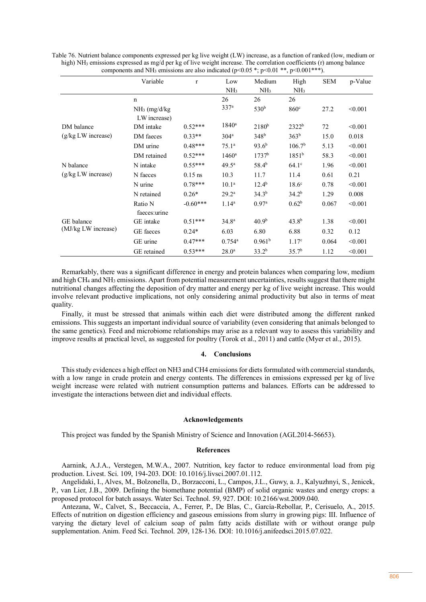|                     | Variable        | $\mathbf{r}$ | Low                  | Medium             | High               | <b>SEM</b> | p-Value |
|---------------------|-----------------|--------------|----------------------|--------------------|--------------------|------------|---------|
|                     |                 |              | NH <sub>3</sub>      | NH <sub>3</sub>    | NH <sub>3</sub>    |            |         |
|                     | $\mathbf n$     |              | 26                   | 26                 | 26                 |            |         |
|                     | $NH3$ (mg/d/kg) |              | 337 <sup>a</sup>     | 530 <sup>b</sup>   | 860 <sup>c</sup>   | 27.2       | < 0.001 |
|                     | LW increase)    |              |                      |                    |                    |            |         |
| DM balance          | DM intake       | $0.52***$    | $1840^{\rm a}$       | $2180^{b}$         | $2322^b$           | 72         | < 0.001 |
| (g/kg LW increase)  | DM faeces       | $0.33**$     | 304 <sup>a</sup>     | 348 <sup>b</sup>   | 363 <sup>b</sup>   | 15.0       | 0.018   |
|                     | DM urine        | $0.48***$    | 75.1 <sup>a</sup>    | 93.6 <sup>b</sup>  | 106.7 <sup>b</sup> | 5.13       | < 0.001 |
|                     | DM retained     | $0.52***$    | $1460$ <sup>a</sup>  | 1737 <sup>b</sup>  | 1851 <sup>b</sup>  | 58.3       | < 0.001 |
| N balance           | N intake        | $0.55***$    | $49.5^{\rm a}$       | 58.4 <sup>b</sup>  | $64.1^\circ$       | 1.96       | < 0.001 |
| (g/kg LW increase)  | N faeces        | $0.15$ ns    | 10.3                 | 11.7               | 11.4               | 0.61       | 0.21    |
|                     | N urine         | $0.78***$    | 10.1 <sup>a</sup>    | $12.4^{b}$         | 18.6 <sup>c</sup>  | 0.78       | < 0.001 |
|                     | N retained      | $0.26*$      | $29.2^{\rm a}$       | $34.3^{b}$         | 34.2 <sup>b</sup>  | 1.29       | 0.008   |
|                     | Ratio N         | $-0.60***$   | 1.14 <sup>a</sup>    | 0.97 <sup>a</sup>  | 0.62 <sup>b</sup>  | 0.067      | < 0.001 |
|                     | faeces: urine   |              |                      |                    |                    |            |         |
| GE balance          | GE intake       | $0.51***$    | 34.8 <sup>a</sup>    | 40.9 <sup>b</sup>  | $43.8^{b}$         | 1.38       | < 0.001 |
| (MJ/kg LW increase) | GE faeces       | $0.24*$      | 6.03                 | 6.80               | 6.88               | 0.32       | 0.12    |
|                     | GE urine        | $0.47***$    | $0.754$ <sup>a</sup> | 0.961 <sup>b</sup> | 1.17 <sup>c</sup>  | 0.064      | < 0.001 |
|                     | GE retained     | $0.53***$    | 28.0 <sup>a</sup>    | 33.2 <sup>b</sup>  | 35.7 <sup>b</sup>  | 1.12       | < 0.001 |

Table 76. Nutrient balance components expressed per kg live weight (LW) increase, as a function of ranked (low, medium or high) NH<sub>3</sub> emissions expressed as mg/d per kg of live weight increase. The correlation coefficients (r) among balance components and NH<sub>3</sub> emissions are also indicated (p<0.05  $\cdot$ ; p<0.01  $\cdot$ , p<0.001  $\cdot$ ).

Remarkably, there was a significant difference in energy and protein balances when comparing low, medium and high CH4 and NH3 emissions. Apart from potential measurement uncertainties, results suggest that there might nutritional changes affecting the deposition of dry matter and energy per kg of live weight increase. This would involve relevant productive implications, not only considering animal productivity but also in terms of meat quality.

Finally, it must be stressed that animals within each diet were distributed among the different ranked emissions. This suggests an important individual source of variability (even considering that animals belonged to the same genetics). Feed and microbiome relationships may arise as a relevant way to assess this variability and improve results at practical level, as suggested for poultry (Torok et al., 2011) and cattle (Myer et al., 2015).

#### **4. Conclusions**

This study evidences a high effect on NH3 and CH4 emissions for diets formulated with commercial standards, with a low range in crude protein and energy contents. The differences in emissions expressed per kg of live weight increase were related with nutrient consumption patterns and balances. Efforts can be addressed to investigate the interactions between diet and individual effects.

#### **Acknowledgements**

This project was funded by the Spanish Ministry of Science and Innovation (AGL2014-56653).

### **References**

Aarnink, A.J.A., Verstegen, M.W.A., 2007. Nutrition, key factor to reduce environmental load from pig production. Livest. Sci. 109, 194-203. DOI: 10.1016/j.livsci.2007.01.112.

Angelidaki, I., Alves, M., Bolzonella, D., Borzacconi, L., Campos, J.L., Guwy, a. J., Kalyuzhnyi, S., Jenicek, P., van Lier, J.B., 2009. Defining the biomethane potential (BMP) of solid organic wastes and energy crops: a proposed protocol for batch assays. Water Sci. Technol. 59, 927. DOI: 10.2166/wst.2009.040.

Antezana, W., Calvet, S., Beccaccia, A., Ferrer, P., De Blas, C., García-Rebollar, P., Cerisuelo, A., 2015. Effects of nutrition on digestion efficiency and gaseous emissions from slurry in growing pigs: III. Influence of varying the dietary level of calcium soap of palm fatty acids distillate with or without orange pulp supplementation. Anim. Feed Sci. Technol. 209, 128-136. DOI: 10.1016/j.anifeedsci.2015.07.022.